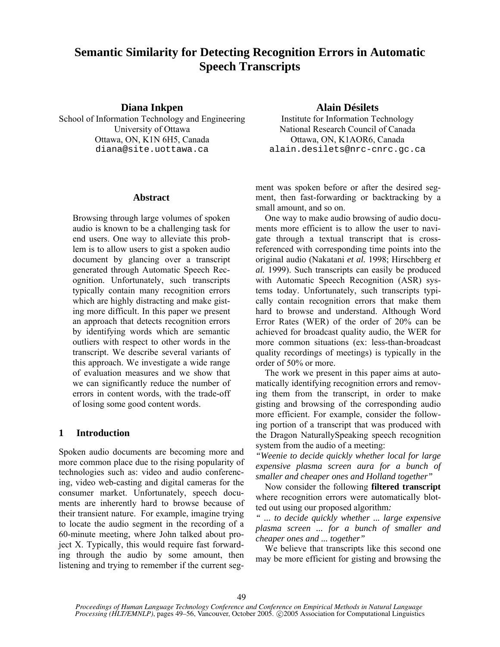# **Semantic Similarity for Detecting Recognition Errors in Automatic Speech Transcripts**

# **Diana Inkpen Alain Désilets**

School of Information Technology and Engineering Institute for Information Technology Ottawa, ON, K1N 6H5, Canada Ottawa, ON, K1AOR6, Canada

#### **Abstract**

Browsing through large volumes of spoken audio is known to be a challenging task for end users. One way to alleviate this problem is to allow users to gist a spoken audio document by glancing over a transcript generated through Automatic Speech Recognition. Unfortunately, such transcripts typically contain many recognition errors which are highly distracting and make gisting more difficult. In this paper we present an approach that detects recognition errors by identifying words which are semantic outliers with respect to other words in the transcript. We describe several variants of this approach. We investigate a wide range of evaluation measures and we show that we can significantly reduce the number of errors in content words, with the trade-off of losing some good content words.

# **1 Introduction**

Spoken audio documents are becoming more and more common place due to the rising popularity of technologies such as: video and audio conferencing, video web-casting and digital cameras for the consumer market. Unfortunately, speech documents are inherently hard to browse because of their transient nature. For example, imagine trying to locate the audio segment in the recording of a 60-minute meeting, where John talked about project X. Typically, this would require fast forwarding through the audio by some amount, then listening and trying to remember if the current seg-

University of Ottawa National Research Council of Canada diana@site.uottawa.ca alain.desilets@nrc-cnrc.gc.ca

> ment was spoken before or after the desired segment, then fast-forwarding or backtracking by a small amount, and so on.

> One way to make audio browsing of audio documents more efficient is to allow the user to navigate through a textual transcript that is crossreferenced with corresponding time points into the original audio (Nakatani *et al.* 1998; Hirschberg *et al.* 1999). Such transcripts can easily be produced with Automatic Speech Recognition (ASR) systems today. Unfortunately, such transcripts typically contain recognition errors that make them hard to browse and understand. Although Word Error Rates (WER) of the order of 20% can be achieved for broadcast quality audio, the WER for more common situations (ex: less-than-broadcast quality recordings of meetings) is typically in the order of 50% or more.

> The work we present in this paper aims at automatically identifying recognition errors and removing them from the transcript, in order to make gisting and browsing of the corresponding audio more efficient. For example, consider the following portion of a transcript that was produced with the Dragon NaturallySpeaking speech recognition system from the audio of a meeting:

> *"Weenie to decide quickly whether local for large expensive plasma screen aura for a bunch of smaller and cheaper ones and Holland together"*

> Now consider the following **filtered transcript** where recognition errors were automatically blotted out using our proposed algorithm*:*

> *" ... to decide quickly whether ... large expensive plasma screen ... for a bunch of smaller and cheaper ones and ... together"*

> We believe that transcripts like this second one may be more efficient for gisting and browsing the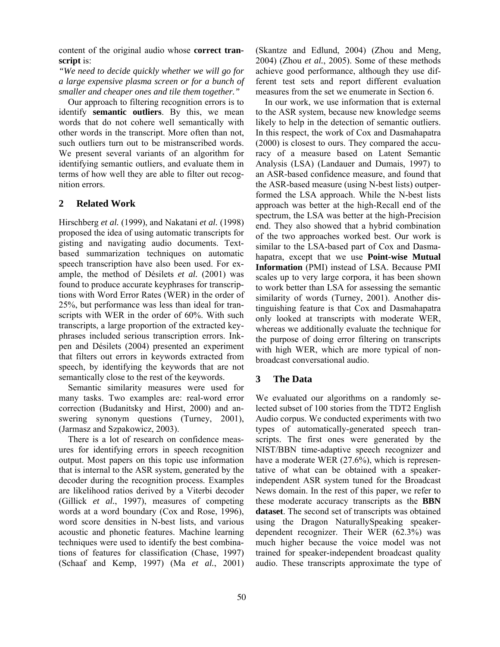content of the original audio whose **correct transcript** is:

*"We need to decide quickly whether we will go for a large expensive plasma screen or for a bunch of smaller and cheaper ones and tile them together."* 

Our approach to filtering recognition errors is to identify **semantic outliers**. By this, we mean words that do not cohere well semantically with other words in the transcript. More often than not, such outliers turn out to be mistranscribed words. We present several variants of an algorithm for identifying semantic outliers, and evaluate them in terms of how well they are able to filter out recognition errors.

# **2 Related Work**

Hirschberg *et al.* (1999), and Nakatani *et al.* (1998) proposed the idea of using automatic transcripts for gisting and navigating audio documents. Textbased summarization techniques on automatic speech transcription have also been used. For example, the method of Désilets *et al.* (2001) was found to produce accurate keyphrases for transcriptions with Word Error Rates (WER) in the order of 25%, but performance was less than ideal for transcripts with WER in the order of 60%. With such transcripts, a large proportion of the extracted keyphrases included serious transcription errors. Inkpen and Désilets (2004) presented an experiment that filters out errors in keywords extracted from speech, by identifying the keywords that are not semantically close to the rest of the keywords.

Semantic similarity measures were used for many tasks. Two examples are: real-word error correction (Budanitsky and Hirst, 2000) and answering synonym questions (Turney, 2001), (Jarmasz and Szpakowicz, 2003).

There is a lot of research on confidence measures for identifying errors in speech recognition output. Most papers on this topic use information that is internal to the ASR system, generated by the decoder during the recognition process. Examples are likelihood ratios derived by a Viterbi decoder (Gillick *et al.*, 1997), measures of competing words at a word boundary (Cox and Rose, 1996), word score densities in N-best lists, and various acoustic and phonetic features. Machine learning techniques were used to identify the best combinations of features for classification (Chase, 1997) (Schaaf and Kemp, 1997) (Ma *et al.*, 2001)

(Skantze and Edlund, 2004) (Zhou and Meng, 2004) (Zhou *et al.*, 2005). Some of these methods achieve good performance, although they use different test sets and report different evaluation measures from the set we enumerate in Section 6.

In our work, we use information that is external to the ASR system, because new knowledge seems likely to help in the detection of semantic outliers. In this respect, the work of Cox and Dasmahapatra (2000) is closest to ours. They compared the accuracy of a measure based on Latent Semantic Analysis (LSA) (Landauer and Dumais, 1997) to an ASR-based confidence measure, and found that the ASR-based measure (using N-best lists) outperformed the LSA approach. While the N-best lists approach was better at the high-Recall end of the spectrum, the LSA was better at the high-Precision end. They also showed that a hybrid combination of the two approaches worked best. Our work is similar to the LSA-based part of Cox and Dasmahapatra, except that we use **Point-wise Mutual Information** (PMI) instead of LSA. Because PMI scales up to very large corpora, it has been shown to work better than LSA for assessing the semantic similarity of words (Turney, 2001). Another distinguishing feature is that Cox and Dasmahapatra only looked at transcripts with moderate WER, whereas we additionally evaluate the technique for the purpose of doing error filtering on transcripts with high WER, which are more typical of nonbroadcast conversational audio.

# **3 The Data**

We evaluated our algorithms on a randomly selected subset of 100 stories from the TDT2 English Audio corpus. We conducted experiments with two types of automatically-generated speech transcripts. The first ones were generated by the NIST/BBN time-adaptive speech recognizer and have a moderate WER (27.6%), which is representative of what can be obtained with a speakerindependent ASR system tuned for the Broadcast News domain. In the rest of this paper, we refer to these moderate accuracy transcripts as the **BBN dataset**. The second set of transcripts was obtained using the Dragon NaturallySpeaking speakerdependent recognizer. Their WER (62.3%) was much higher because the voice model was not trained for speaker-independent broadcast quality audio. These transcripts approximate the type of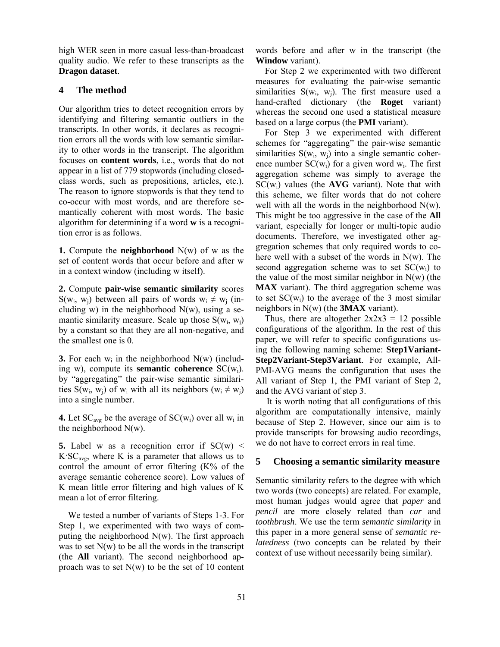high WER seen in more casual less-than-broadcast quality audio. We refer to these transcripts as the **Dragon dataset**.

## **4 The method**

Our algorithm tries to detect recognition errors by identifying and filtering semantic outliers in the transcripts. In other words, it declares as recognition errors all the words with low semantic similarity to other words in the transcript. The algorithm focuses on **content words**, i.e., words that do not appear in a list of 779 stopwords (including closedclass words, such as prepositions, articles, etc.). The reason to ignore stopwords is that they tend to co-occur with most words, and are therefore semantically coherent with most words. The basic algorithm for determining if a word **w** is a recognition error is as follows.

**1.** Compute the **neighborhood** N(w) of w as the set of content words that occur before and after w in a context window (including w itself).

**2.** Compute **pair-wise semantic similarity** scores  $S(w_i, w_j)$  between all pairs of words  $w_i \neq w_j$  (including w) in the neighborhood  $N(w)$ , using a semantic similarity measure. Scale up those  $S(w_i, w_i)$ by a constant so that they are all non-negative, and the smallest one is 0.

**3.** For each  $w_i$  in the neighborhood  $N(w)$  (including w), compute its **semantic coherence** SC(wi). by "aggregating" the pair-wise semantic similarities S(w<sub>i</sub>, w<sub>i</sub>) of w<sub>i</sub> with all its neighbors (w<sub>i</sub>  $\neq$  w<sub>i</sub>) into a single number.

**4.** Let  $SC_{avg}$  be the average of  $SC(w_i)$  over all  $w_i$  in the neighborhood N(w).

**5.** Label w as a recognition error if  $SC(w)$  <  $K^{\prime}SC_{\text{avg}}$ , where K is a parameter that allows us to control the amount of error filtering (K% of the average semantic coherence score). Low values of K mean little error filtering and high values of K mean a lot of error filtering.

We tested a number of variants of Steps 1-3. For Step 1, we experimented with two ways of computing the neighborhood  $N(w)$ . The first approach was to set  $N(w)$  to be all the words in the transcript (the **All** variant). The second neighborhood approach was to set  $N(w)$  to be the set of 10 content words before and after w in the transcript (the **Window** variant).

For Step 2 we experimented with two different measures for evaluating the pair-wise semantic similarities  $S(w_i, w_j)$ . The first measure used a hand-crafted dictionary (the **Roget** variant) whereas the second one used a statistical measure based on a large corpus (the **PMI** variant).

For Step 3 we experimented with different schemes for "aggregating" the pair-wise semantic similarities  $S(w_i, w_i)$  into a single semantic coherence number  $SC(w_i)$  for a given word  $w_i$ . The first aggregation scheme was simply to average the SC(wi) values (the **AVG** variant). Note that with this scheme, we filter words that do not cohere well with all the words in the neighborhood  $N(w)$ . This might be too aggressive in the case of the **All** variant, especially for longer or multi-topic audio documents. Therefore, we investigated other aggregation schemes that only required words to cohere well with a subset of the words in N(w). The second aggregation scheme was to set  $SC(w_i)$  to the value of the most similar neighbor in  $N(w)$  (the **MAX** variant). The third aggregation scheme was to set  $SC(w_i)$  to the average of the 3 most similar neighbors in N(w) (the **3MAX** variant).

Thus, there are altogether  $2x2x3 = 12$  possible configurations of the algorithm. In the rest of this paper, we will refer to specific configurations using the following naming scheme: **Step1Variant-Step2Variant-Step3Variant**. For example, All-PMI-AVG means the configuration that uses the All variant of Step 1, the PMI variant of Step 2, and the AVG variant of step 3.

It is worth noting that all configurations of this algorithm are computationally intensive, mainly because of Step 2. However, since our aim is to provide transcripts for browsing audio recordings, we do not have to correct errors in real time.

#### **5 Choosing a semantic similarity measure**

Semantic similarity refers to the degree with which two words (two concepts) are related. For example, most human judges would agree that *paper* and *pencil* are more closely related than *car* and *toothbrush*. We use the term *semantic similarity* in this paper in a more general sense of *semantic relatedness* (two concepts can be related by their context of use without necessarily being similar).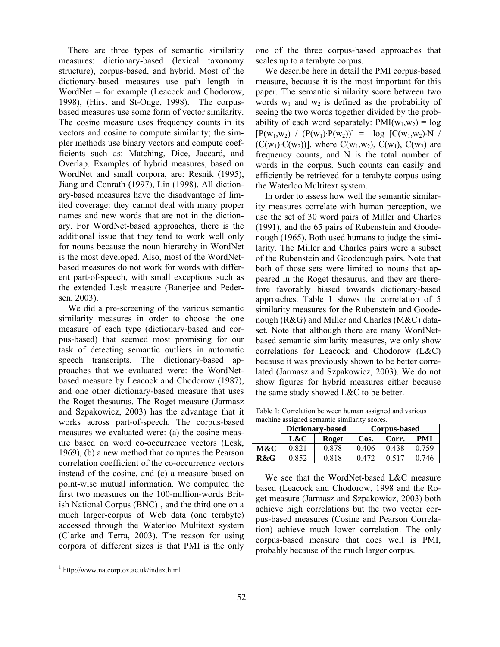There are three types of semantic similarity measures: dictionary-based (lexical taxonomy structure), corpus-based, and hybrid. Most of the dictionary-based measures use path length in WordNet – for example (Leacock and Chodorow, 1998), (Hirst and St-Onge, 1998). The corpusbased measures use some form of vector similarity. The cosine measure uses frequency counts in its vectors and cosine to compute similarity; the simpler methods use binary vectors and compute coefficients such as: Matching, Dice, Jaccard, and Overlap. Examples of hybrid measures, based on WordNet and small corpora, are: Resnik (1995), Jiang and Conrath (1997), Lin (1998). All dictionary-based measures have the disadvantage of limited coverage: they cannot deal with many proper names and new words that are not in the dictionary. For WordNet-based approaches, there is the additional issue that they tend to work well only for nouns because the noun hierarchy in WordNet is the most developed. Also, most of the WordNetbased measures do not work for words with different part-of-speech, with small exceptions such as the extended Lesk measure (Banerjee and Pedersen, 2003).

We did a pre-screening of the various semantic similarity measures in order to choose the one measure of each type (dictionary-based and corpus-based) that seemed most promising for our task of detecting semantic outliers in automatic speech transcripts. The dictionary-based approaches that we evaluated were: the WordNetbased measure by Leacock and Chodorow (1987), and one other dictionary-based measure that uses the Roget thesaurus. The Roget measure (Jarmasz and Szpakowicz, 2003) has the advantage that it works across part-of-speech. The corpus-based measures we evaluated were: (a) the cosine measure based on word co-occurrence vectors (Lesk, 1969), (b) a new method that computes the Pearson correlation coefficient of the co-occurrence vectors instead of the cosine, and (c) a measure based on point-wise mutual information. We computed the first two measures on the 100-million-words British National Corpus  $(BNC)^1$ , and the third one on a much larger-corpus of Web data (one terabyte) accessed through the Waterloo Multitext system (Clarke and Terra, 2003). The reason for using corpora of different sizes is that PMI is the only

 $\overline{a}$ 

one of the three corpus-based approaches that scales up to a terabyte corpus.

We describe here in detail the PMI corpus-based measure, because it is the most important for this paper. The semantic similarity score between two words  $w_1$  and  $w_2$  is defined as the probability of seeing the two words together divided by the probability of each word separately:  $PMI(w_1, w_2) = log$  $[P(w_1,w_2) / (P(w_1) \cdot P(w_2))] = \log [C(w_1,w_2) \cdot N ]$  $(C(w_1) \cdot C(w_2))$ ], where  $C(w_1, w_2)$ ,  $C(w_1)$ ,  $C(w_2)$  are frequency counts, and N is the total number of words in the corpus. Such counts can easily and efficiently be retrieved for a terabyte corpus using the Waterloo Multitext system.

In order to assess how well the semantic similarity measures correlate with human perception, we use the set of 30 word pairs of Miller and Charles (1991), and the 65 pairs of Rubenstein and Goodenough (1965). Both used humans to judge the similarity. The Miller and Charles pairs were a subset of the Rubenstein and Goodenough pairs. Note that both of those sets were limited to nouns that appeared in the Roget thesaurus, and they are therefore favorably biased towards dictionary-based approaches. Table 1 shows the correlation of 5 similarity measures for the Rubenstein and Goodenough (R&G) and Miller and Charles (M&C) dataset. Note that although there are many WordNetbased semantic similarity measures, we only show correlations for Leacock and Chodorow (L&C) because it was previously shown to be better correlated (Jarmasz and Szpakowicz, 2003). We do not show figures for hybrid measures either because the same study showed L&C to be better.

Table 1: Correlation between human assigned and various machine assigned semantic similarity scores.

|     | <b>Dictionary-based</b> |       | Corpus-based |       |       |
|-----|-------------------------|-------|--------------|-------|-------|
|     | L&C                     | Roget | Cos.         | Corr. | PMI   |
| M&C | 0.821                   | 0.878 | 0.406        | 0.438 | 0.759 |
| R&G | 0.852                   | 0.818 | 0.472        | 0.517 | 0.746 |

We see that the WordNet-based L&C measure based (Leacock and Chodorow, 1998 and the Roget measure (Jarmasz and Szpakowicz, 2003) both achieve high correlations but the two vector corpus-based measures (Cosine and Pearson Correlation) achieve much lower correlation. The only corpus-based measure that does well is PMI, probably because of the much larger corpus.

<sup>1</sup> http://www.natcorp.ox.ac.uk/index.html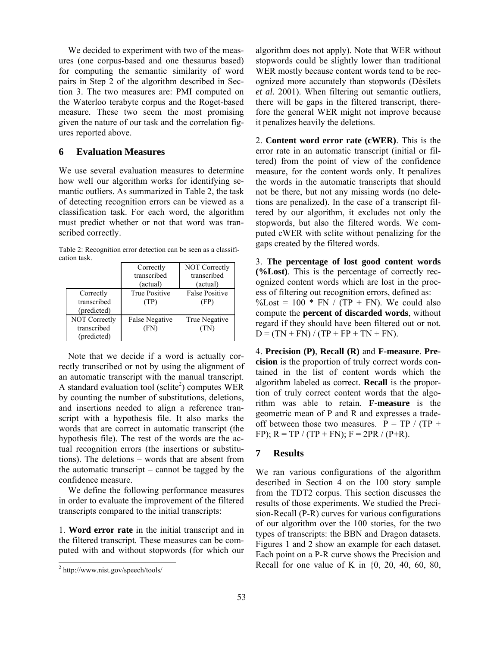We decided to experiment with two of the measures (one corpus-based and one thesaurus based) for computing the semantic similarity of word pairs in Step 2 of the algorithm described in Section 3. The two measures are: PMI computed on the Waterloo terabyte corpus and the Roget-based measure. These two seem the most promising given the nature of our task and the correlation figures reported above.

#### **6 Evaluation Measures**

We use several evaluation measures to determine how well our algorithm works for identifying semantic outliers. As summarized in Table 2, the task of detecting recognition errors can be viewed as a classification task. For each word, the algorithm must predict whether or not that word was transcribed correctly.

Table 2: Recognition error detection can be seen as a classification task.

|                                             | Correctly<br>transcribed<br>(actual) | NOT Correctly<br>transcribed<br>(actual) |
|---------------------------------------------|--------------------------------------|------------------------------------------|
| Correctly<br>transcribed<br>(predicted)     | <b>True Positive</b><br>(TP)         | <b>False Positive</b><br>(FP)            |
| NOT Correctly<br>transcribed<br>(predicted) | <b>False Negative</b><br>(FN)        | True Negative<br>(TN)                    |

Note that we decide if a word is actually correctly transcribed or not by using the alignment of an automatic transcript with the manual transcript. A standard evaluation tool (sclite<sup>2</sup>) computes WER by counting the number of substitutions, deletions, and insertions needed to align a reference transcript with a hypothesis file. It also marks the words that are correct in automatic transcript (the hypothesis file). The rest of the words are the actual recognition errors (the insertions or substitutions). The deletions – words that are absent from the automatic transcript – cannot be tagged by the confidence measure.

We define the following performance measures in order to evaluate the improvement of the filtered transcripts compared to the initial transcripts:

1. **Word error rate** in the initial transcript and in the filtered transcript. These measures can be computed with and without stopwords (for which our

 $\overline{a}$ 

algorithm does not apply). Note that WER without stopwords could be slightly lower than traditional WER mostly because content words tend to be recognized more accurately than stopwords (Désilets *et al.* 2001). When filtering out semantic outliers, there will be gaps in the filtered transcript, therefore the general WER might not improve because it penalizes heavily the deletions.

2. **Content word error rate (cWER)**. This is the error rate in an automatic transcript (initial or filtered) from the point of view of the confidence measure, for the content words only. It penalizes the words in the automatic transcripts that should not be there, but not any missing words (no deletions are penalized). In the case of a transcript filtered by our algorithm, it excludes not only the stopwords, but also the filtered words. We computed cWER with sclite without penalizing for the gaps created by the filtered words.

3. **The percentage of lost good content words (%Lost)**. This is the percentage of correctly recognized content words which are lost in the process of filtering out recognition errors, defined as:  $\%$ Lost = 100 \* FN / (TP + FN). We could also compute the **percent of discarded words**, without regard if they should have been filtered out or not.  $D = (TN + FN) / (TP + FP + TN + FN).$ 

4. **Precision (P)**, **Recall (R)** and **F-measure**. **Precision** is the proportion of truly correct words contained in the list of content words which the algorithm labeled as correct. **Recall** is the proportion of truly correct content words that the algorithm was able to retain. **F-measure** is the geometric mean of P and R and expresses a tradeoff between those two measures.  $P = TP / (TP +$ FP);  $R = TP / (TP + FN)$ ;  $F = 2PR / (P + R)$ .

## **7 Results**

We ran various configurations of the algorithm described in Section 4 on the 100 story sample from the TDT2 corpus. This section discusses the results of those experiments. We studied the Precision-Recall (P-R) curves for various configurations of our algorithm over the 100 stories, for the two types of transcripts: the BBN and Dragon datasets. Figures 1 and 2 show an example for each dataset. Each point on a P-R curve shows the Precision and Recall for one value of K in  $\{0, 20, 40, 60, 80, 80\}$ 

<sup>&</sup>lt;sup>2</sup> http://www.nist.gov/speech/tools/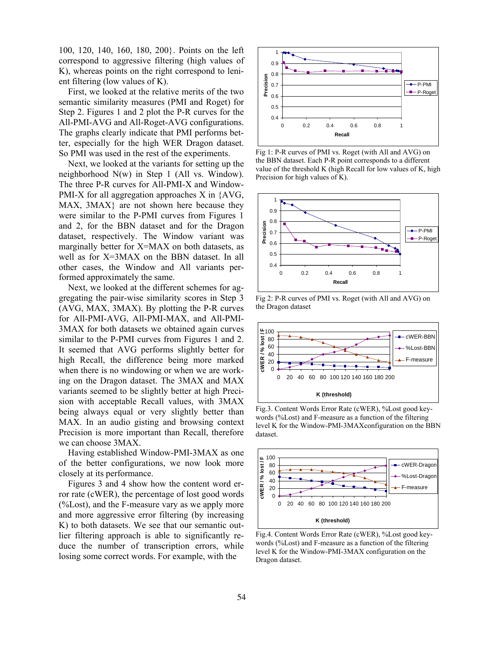100, 120, 140, 160, 180, 200}. Points on the left correspond to aggressive filtering (high values of K), whereas points on the right correspond to lenient filtering (low values of K).

First, we looked at the relative merits of the two semantic similarity measures (PMI and Roget) for Step 2. Figures 1 and 2 plot the P-R curves for the All-PMI-AVG and All-Roget-AVG configurations. The graphs clearly indicate that PMI performs better, especially for the high WER Dragon dataset. So PMI was used in the rest of the experiments.

Next, we looked at the variants for setting up the neighborhood N(w) in Step 1 (All vs. Window). The three P-R curves for All-PMI-X and Window-PMI-X for all aggregation approaches X in {AVG, MAX, 3MAX} are not shown here because they were similar to the P-PMI curves from Figures 1 and 2, for the BBN dataset and for the Dragon dataset, respectively. The Window variant was marginally better for X=MAX on both datasets, as well as for X=3MAX on the BBN dataset. In all other cases, the Window and All variants performed approximately the same.

Next, we looked at the different schemes for aggregating the pair-wise similarity scores in Step 3 (AVG, MAX, 3MAX). By plotting the P-R curves for All-PMI-AVG, All-PMI-MAX, and All-PMI-3MAX for both datasets we obtained again curves similar to the P-PMI curves from Figures 1 and 2. It seemed that AVG performs slightly better for high Recall, the difference being more marked when there is no windowing or when we are working on the Dragon dataset. The 3MAX and MAX variants seemed to be slightly better at high Precision with acceptable Recall values, with 3MAX being always equal or very slightly better than MAX. In an audio gisting and browsing context Precision is more important than Recall, therefore we can choose 3MAX.

Having established Window-PMI-3MAX as one of the better configurations, we now look more closely at its performance.

Figures 3 and 4 show how the content word error rate (cWER), the percentage of lost good words  $\frac{6}{6}$ Lost), and the F-measure vary as we apply more and more aggressive error filtering (by increasing K) to both datasets. We see that our semantic outlier filtering approach is able to significantly reduce the number of transcription errors, while losing some correct words. For example, with the



Fig 1: P-R curves of PMI vs. Roget (with All and AVG) on the BBN dataset. Each P-R point corresponds to a different value of the threshold K (high Recall for low values of K, high Precision for high values of K).



Fig 2: P-R curves of PMI vs. Roget (with All and AVG) on the Dragon dataset



Fig.3. Content Words Error Rate (cWER), %Lost good keywords (%Lost) and F-measure as a function of the filtering level K for the Window-PMI-3MAXconfiguration on the BBN dataset.



Fig.4. Content Words Error Rate (cWER), %Lost good keywords (%Lost) and F-measure as a function of the filtering level K for the Window-PMI-3MAX configuration on the Dragon dataset.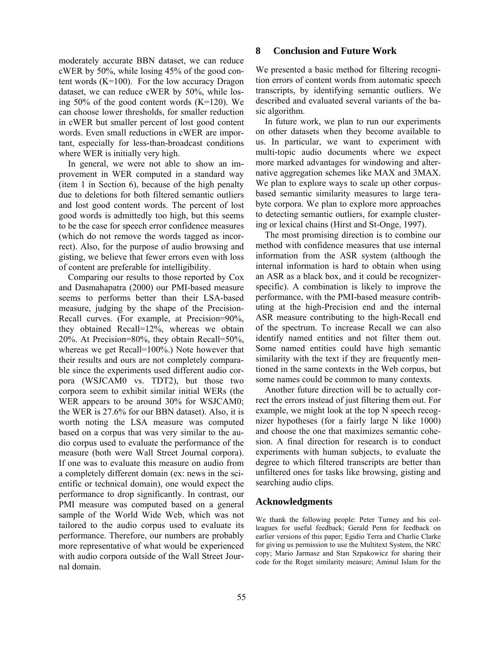moderately accurate BBN dataset, we can reduce cWER by 50%, while losing 45% of the good content words  $(K=100)$ . For the low accuracy Dragon dataset, we can reduce cWER by 50%, while losing 50% of the good content words (K=120). We can choose lower thresholds, for smaller reduction in cWER but smaller percent of lost good content words. Even small reductions in cWER are important, especially for less-than-broadcast conditions where WER is initially very high.

In general, we were not able to show an improvement in WER computed in a standard way (item 1 in Section 6), because of the high penalty due to deletions for both filtered semantic outliers and lost good content words. The percent of lost good words is admittedly too high, but this seems to be the case for speech error confidence measures (which do not remove the words tagged as incorrect). Also, for the purpose of audio browsing and gisting, we believe that fewer errors even with loss of content are preferable for intelligibility.

Comparing our results to those reported by Cox and Dasmahapatra (2000) our PMI-based measure seems to performs better than their LSA-based measure, judging by the shape of the Precision-Recall curves. (For example, at Precision=90%, they obtained Recall=12%, whereas we obtain 20%. At Precision=80%, they obtain Recall=50%, whereas we get Recall=100%.) Note however that their results and ours are not completely comparable since the experiments used different audio corpora (WSJCAM0 vs. TDT2), but those two corpora seem to exhibit similar initial WERs (the WER appears to be around 30% for WSJCAM0; the WER is 27.6% for our BBN dataset). Also, it is worth noting the LSA measure was computed based on a corpus that was very similar to the audio corpus used to evaluate the performance of the measure (both were Wall Street Journal corpora). If one was to evaluate this measure on audio from a completely different domain (ex: news in the scientific or technical domain), one would expect the performance to drop significantly. In contrast, our PMI measure was computed based on a general sample of the World Wide Web, which was not tailored to the audio corpus used to evaluate its performance. Therefore, our numbers are probably more representative of what would be experienced with audio corpora outside of the Wall Street Journal domain.

#### **8 Conclusion and Future Work**

We presented a basic method for filtering recognition errors of content words from automatic speech transcripts, by identifying semantic outliers. We described and evaluated several variants of the basic algorithm.

In future work, we plan to run our experiments on other datasets when they become available to us. In particular, we want to experiment with multi-topic audio documents where we expect more marked advantages for windowing and alternative aggregation schemes like MAX and 3MAX. We plan to explore ways to scale up other corpusbased semantic similarity measures to large terabyte corpora. We plan to explore more approaches to detecting semantic outliers, for example clustering or lexical chains (Hirst and St-Onge, 1997).

The most promising direction is to combine our method with confidence measures that use internal information from the ASR system (although the internal information is hard to obtain when using an ASR as a black box, and it could be recognizerspecific). A combination is likely to improve the performance, with the PMI-based measure contributing at the high-Precision end and the internal ASR measure contributing to the high-Recall end of the spectrum. To increase Recall we can also identify named entities and not filter them out. Some named entities could have high semantic similarity with the text if they are frequently mentioned in the same contexts in the Web corpus, but some names could be common to many contexts.

Another future direction will be to actually correct the errors instead of just filtering them out. For example, we might look at the top N speech recognizer hypotheses (for a fairly large N like 1000) and choose the one that maximizes semantic cohesion. A final direction for research is to conduct experiments with human subjects, to evaluate the degree to which filtered transcripts are better than unfiltered ones for tasks like browsing, gisting and searching audio clips.

#### **Acknowledgments**

We thank the following people: Peter Turney and his colleagues for useful feedback; Gerald Penn for feedback on earlier versions of this paper; Egidio Terra and Charlie Clarke for giving us permission to use the Multitext System, the NRC copy; Mario Jarmasz and Stan Szpakowicz for sharing their code for the Roget similarity measure; Aminul Islam for the